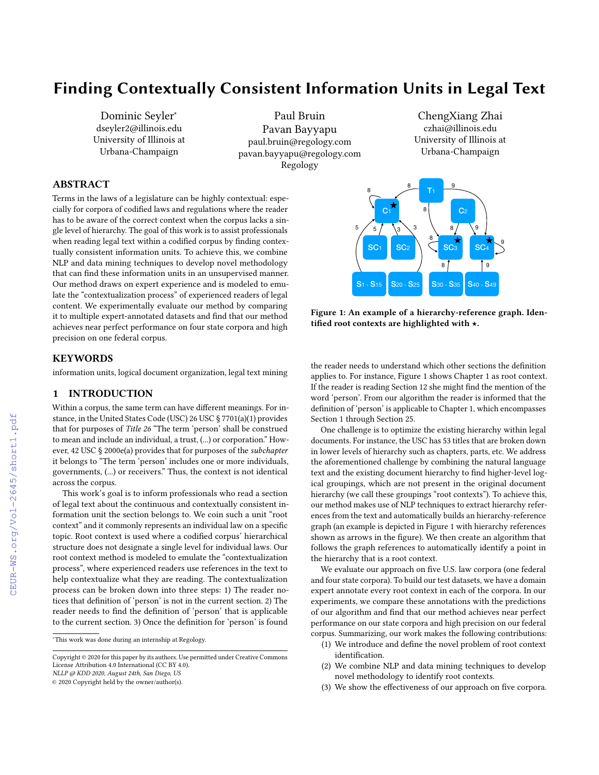# Finding Contextually Consistent Information Units in Legal Text

Dominic Seyler<sup>∗</sup> dseyler2@illinois.edu University of Illinois at Urbana-Champaign

Paul Bruin Pavan Bayyapu paul.bruin@regology.com pavan.bayyapu@regology.com Regology

ChengXiang Zhai czhai@illinois.edu University of Illinois at Urbana-Champaign

# ABSTRACT

Terms in the laws of a legislature can be highly contextual: especially for corpora of codified laws and regulations where the reader has to be aware of the correct context when the corpus lacks a single level of hierarchy. The goal of this work is to assist professionals when reading legal text within a codified corpus by finding contextually consistent information units. To achieve this, we combine NLP and data mining techniques to develop novel methodology that can find these information units in an unsupervised manner. Our method draws on expert experience and is modeled to emulate the "contextualization process" of experienced readers of legal content. We experimentally evaluate our method by comparing it to multiple expert-annotated datasets and find that our method achieves near perfect performance on four state corpora and high precision on one federal corpus.

## **KEYWORDS**

information units, logical document organization, legal text mining

## 1 INTRODUCTION

Within a corpus, the same term can have different meanings. For instance, in the United States Code (USC) 26 USC § 7701(a)(1) provides that for purposes of Title 26 "The term 'person' shall be construed to mean and include an individual, a trust, (...) or corporation." However, 42 USC § 2000e(a) provides that for purposes of the subchapter it belongs to "The term 'person' includes one or more individuals, governments, (...) or receivers." Thus, the context is not identical across the corpus.

This work's goal is to inform professionals who read a section of legal text about the continuous and contextually consistent information unit the section belongs to. We coin such a unit "root context" and it commonly represents an individual law on a specific topic. Root context is used where a codified corpus' hierarchical structure does not designate a single level for individual laws. Our root context method is modeled to emulate the "contextualization process", where experienced readers use references in the text to help contextualize what they are reading. The contextualization process can be broken down into three steps: 1) The reader notices that definition of 'person' is not in the current section. 2) The reader needs to find the definition of 'person' that is applicable to the current section. 3) Once the definition for 'person' is found

Copyright © 2020 for this paper by its authors. Use permitted under Creative Commons License Attribution 4.0 International (CC BY 4.0).

NLLP @ KDD 2020, August 24th, San Diego, US

Figure 1: An example of a hierarchy-reference graph. Identified root contexts are highlighted with ★.

the reader needs to understand which other sections the definition applies to. For instance, Figure [1](#page-0-0) shows Chapter 1 as root context. If the reader is reading Section 12 she might find the mention of the word 'person'. From our algorithm the reader is informed that the definition of 'person' is applicable to Chapter 1, which encompasses Section 1 through Section 25.

One challenge is to optimize the existing hierarchy within legal documents. For instance, the USC has 53 titles that are broken down in lower levels of hierarchy such as chapters, parts, etc. We address the aforementioned challenge by combining the natural language text and the existing document hierarchy to find higher-level logical groupings, which are not present in the original document hierarchy (we call these groupings "root contexts"). To achieve this, our method makes use of NLP techniques to extract hierarchy references from the text and automatically builds an hierarchy-reference graph (an example is depicted in Figure [1](#page-0-0) with hierarchy references shown as arrows in the figure). We then create an algorithm that follows the graph references to automatically identify a point in the hierarchy that is a root context.

We evaluate our approach on five U.S. law corpora (one federal and four state corpora). To build our test datasets, we have a domain expert annotate every root context in each of the corpora. In our experiments, we compare these annotations with the predictions of our algorithm and find that our method achieves near perfect performance on our state corpora and high precision on our federal corpus. Summarizing, our work makes the following contributions:

- (1) We introduce and define the novel problem of root context identification.
- (2) We combine NLP and data mining techniques to develop novel methodology to identify root contexts.
- (3) We show the effectiveness of our approach on five corpora.

<span id="page-0-0"></span>

<sup>∗</sup>This work was done during an internship at Regology.

<sup>©</sup> 2020 Copyright held by the owner/author(s).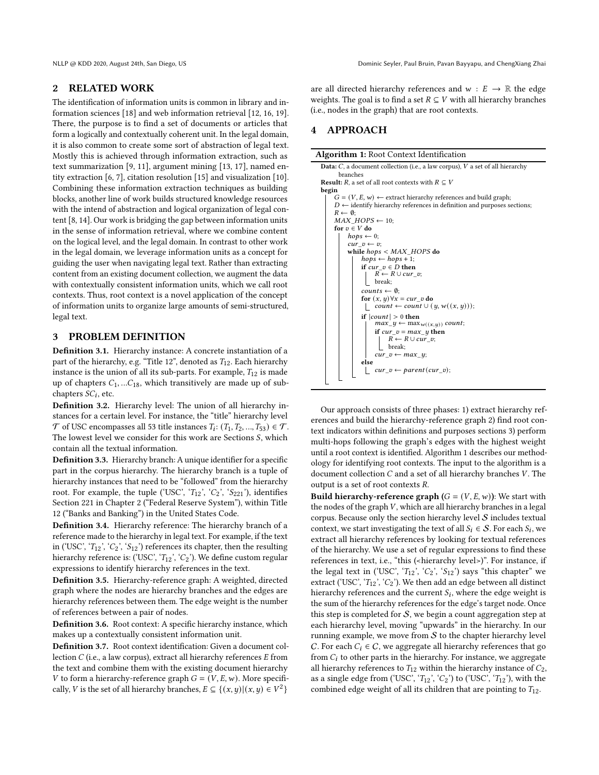## 2 RELATED WORK

The identification of information units is common in library and information sciences [\[18\]](#page-3-0) and web information retrieval [\[12,](#page-3-1) [16,](#page-3-2) [19\]](#page-3-3). There, the purpose is to find a set of documents or articles that form a logically and contextually coherent unit. In the legal domain, it is also common to create some sort of abstraction of legal text. Mostly this is achieved through information extraction, such as text summarization [\[9,](#page-3-4) [11\]](#page-3-5), argument mining [\[13,](#page-3-6) [17\]](#page-3-7), named entity extraction [\[6,](#page-3-8) [7\]](#page-3-9), citation resolution [\[15\]](#page-3-10) and visualization [\[10\]](#page-3-11). Combining these information extraction techniques as building blocks, another line of work builds structured knowledge resources with the intend of abstraction and logical organization of legal content [\[8,](#page-3-12) [14\]](#page-3-13). Our work is bridging the gap between information units in the sense of information retrieval, where we combine content on the logical level, and the legal domain. In contrast to other work in the legal domain, we leverage information units as a concept for guiding the user when navigating legal text. Rather than extracting content from an existing document collection, we augment the data with contextually consistent information units, which we call root contexts. Thus, root context is a novel application of the concept of information units to organize large amounts of semi-structured, legal text.

## 3 PROBLEM DEFINITION

Definition 3.1. Hierarchy instance: A concrete instantiation of a part of the hierarchy, e.g. "Title 12", denoted as  $T_{12}$ . Each hierarchy instance is the union of all its sub-parts. For example,  $T_{12}$  is made up of chapters  $C_1$ , ... $C_{18}$ , which transitively are made up of subchapters  $SC_i$ , etc.

Definition 3.2. Hierarchy level: The union of all hierarchy instances for a certain level. For instance, the "title" hierarchy level  $\mathcal T$  of USC encompasses all 53 title instances  $T_i$ :  $(T_1, T_2, ..., T_{53}) \in \mathcal T$ . The lowest level we consider for this work are Sections  $S$ , which contain all the textual information.

Definition 3.3. Hierarchy branch: A unique identifier for a specific part in the corpus hierarchy. The hierarchy branch is a tuple of hierarchy instances that need to be "followed" from the hierarchy root. For example, the tuple ('USC', ' $T_{12}$ ', ' $C_2$ ', ' $S_{221}$ '), identifies Section 221 in Chapter 2 ("Federal Reserve System"), within Title 12 ("Banks and Banking") in the United States Code.

Definition 3.4. Hierarchy reference: The hierarchy branch of a reference made to the hierarchy in legal text. For example, if the text in ('USC', ' $T_{12}$ ', ' $C_2$ ', ' $S_{12}$ ') references its chapter, then the resulting hierarchy reference is: ('USC', ' $T_{12}$ ', ' $C_2$ '). We define custom regular expressions to identify hierarchy references in the text.

Definition 3.5. Hierarchy-reference graph: A weighted, directed graph where the nodes are hierarchy branches and the edges are hierarchy references between them. The edge weight is the number of references between a pair of nodes.

Definition 3.6. Root context: A specific hierarchy instance, which makes up a contextually consistent information unit.

Definition 3.7. Root context identification: Given a document collection  $C$  (i.e., a law corpus), extract all hierarchy references  $E$  from the text and combine them with the existing document hierarchy V to form a hierarchy-reference graph  $G = (V, E, w)$ . More specifically, V is the set of all hierarchy branches,  $E \subseteq \{(x, y) | (x, y) \in V^2\}$ 

are all directed hierarchy references and  $w : E \rightarrow \mathbb{R}$  the edge weights. The goal is to find a set  $R \subseteq V$  with all hierarchy branches (i.e., nodes in the graph) that are root contexts.

# <span id="page-1-1"></span>4 APPROACH

| <b>Data:</b> $C$ , a document collection (i.e., a law corpus), $V$ a set of all hierarchy |  |  |  |  |  |
|-------------------------------------------------------------------------------------------|--|--|--|--|--|
| branches                                                                                  |  |  |  |  |  |
| <b>Result:</b> R, a set of all root contexts with $R \subseteq V$                         |  |  |  |  |  |
| begin                                                                                     |  |  |  |  |  |
| $G = (V, E, w) \leftarrow$ extract hierarchy references and build graph;                  |  |  |  |  |  |
| $D \leftarrow$ identify hierarchy references in definition and purposes sections;         |  |  |  |  |  |
| $R \leftarrow \emptyset$                                                                  |  |  |  |  |  |
| $MAX HOPS \leftarrow 10;$                                                                 |  |  |  |  |  |
| for $v \in V$ do                                                                          |  |  |  |  |  |
| $hops \leftarrow 0;$                                                                      |  |  |  |  |  |
| $cur\ v \leftarrow v$                                                                     |  |  |  |  |  |
| while $hops < MAX\_HOPS$ do                                                               |  |  |  |  |  |
| $hops \leftarrow hops + 1;$                                                               |  |  |  |  |  |
| if cur $v \in D$ then                                                                     |  |  |  |  |  |
| $R \leftarrow R \cup cur$ v;                                                              |  |  |  |  |  |
| break:                                                                                    |  |  |  |  |  |
| $counts \leftarrow \emptyset$                                                             |  |  |  |  |  |
| for $(x, y) \forall x = cur$ <i>v</i> do                                                  |  |  |  |  |  |
| $count \leftarrow count \cup (y, w((x, y)));$                                             |  |  |  |  |  |
| if $ count  > 0$ then                                                                     |  |  |  |  |  |
| $max_y \leftarrow max_{w((x,y))} count;$                                                  |  |  |  |  |  |
| if $cur\_v = max\_y$ then                                                                 |  |  |  |  |  |
| $R \leftarrow R \cup cur$ v;                                                              |  |  |  |  |  |
| break;                                                                                    |  |  |  |  |  |
| $cur\ v \leftarrow max\ y;$                                                               |  |  |  |  |  |
| else                                                                                      |  |  |  |  |  |
| $cur\_v \leftarrow parent(cur\_v);$                                                       |  |  |  |  |  |
|                                                                                           |  |  |  |  |  |

<span id="page-1-0"></span>Our approach consists of three phases: 1) extract hierarchy references and build the hierarchy-reference graph 2) find root context indicators within definitions and purposes sections 3) perform multi-hops following the graph's edges with the highest weight until a root context is identified. Algorithm [1](#page-1-0) describes our methodology for identifying root contexts. The input to the algorithm is a document collection  $C$  and a set of all hierarchy branches  $V$ . The output is a set of root contexts  $R$ .

**Build hierarchy-reference graph**  $(G = (V, E, w))$ : We start with the nodes of the graph  $V$ , which are all hierarchy branches in a legal corpus. Because only the section hierarchy level  $S$  includes textual context, we start investigating the text of all  $S_i \in S$ . For each  $S_i$ , we extract all hierarchy references by looking for textual references of the hierarchy. We use a set of regular expressions to find these references in text, i.e., "this (<hierarchy level>)". For instance, if the legal text in ('USC', ' $T_{12}$ ', ' $C_2$ ', ' $S_{12}$ ') says "this chapter" we extract ('USC', ' $T_{12}$ ', ' $C_2$ '). We then add an edge between all distinct hierarchy references and the current  $S_i$ , where the edge weight is the sum of the hierarchy references for the edge's target node. Once this step is completed for  $S$ , we begin a count aggregation step at each hierarchy level, moving "upwards" in the hierarchy. In our running example, we move from  $S$  to the chapter hierarchy level C. For each  $C_i \in \mathcal{C}$ , we aggregate all hierarchy references that go from  $C_i$  to other parts in the hierarchy. For instance, we aggregate all hierarchy references to  $T_{12}$  within the hierarchy instance of  $C_2$ , as a single edge from ('USC', ' $T_{12}$ ', ' $C_2$ ') to ('USC', ' $T_{12}$ '), with the combined edge weight of all its children that are pointing to  $T_{12}$ .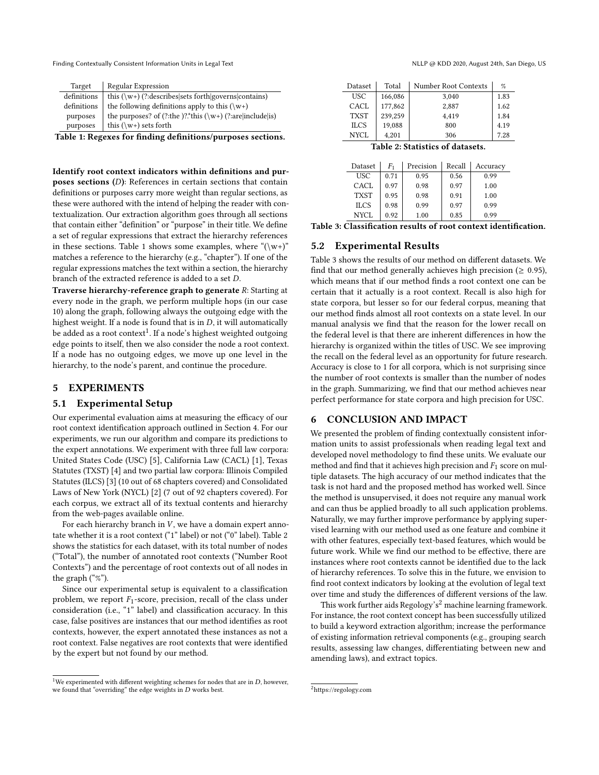Finding Contextually Consistent Information Units in Legal Text Number 2020, August 24th, San Diego, US and Diego, US

<span id="page-2-0"></span>

| Target      | Regular Expression                                            |  |  |  |  |
|-------------|---------------------------------------------------------------|--|--|--|--|
| definitions | this $(\wedge w)$ (?:describes sets forth governs contains)   |  |  |  |  |
| definitions | the following definitions apply to this $(\wedge w^+)$        |  |  |  |  |
| purposes    | the purposes? of (?:the )?*this ( $\w +$ ) (?:are include is) |  |  |  |  |
| purposes    | this $(\wedge w+)$ sets forth                                 |  |  |  |  |

Table 1: Regexes for finding definitions/purposes sections.

Identify root context indicators within definitions and purposes sections  $(D)$ : References in certain sections that contain definitions or purposes carry more weight than regular sections, as these were authored with the intend of helping the reader with contextualization. Our extraction algorithm goes through all sections that contain either "definition" or "purpose" in their title. We define a set of regular expressions that extract the hierarchy references in these sections. Table [1](#page-2-0) shows some examples, where " $(\wedge w^+)$ " matches a reference to the hierarchy (e.g., "chapter"). If one of the regular expressions matches the text within a section, the hierarchy branch of the extracted reference is added to a set  $D$ .

Traverse hierarchy-reference graph to generate  $R$ : Starting at every node in the graph, we perform multiple hops (in our case 10) along the graph, following always the outgoing edge with the highest weight. If a node is found that is in  $D$ , it will automatically be added as a root context<sup>[1](#page-2-1)</sup>. If a node's highest weighted outgoing edge points to itself, then we also consider the node a root context. If a node has no outgoing edges, we move up one level in the hierarchy, to the node's parent, and continue the procedure.

## 5 EXPERIMENTS

#### 5.1 Experimental Setup

Our experimental evaluation aims at measuring the efficacy of our root context identification approach outlined in Section [4.](#page-1-1) For our experiments, we run our algorithm and compare its predictions to the expert annotations. We experiment with three full law corpora: United States Code (USC) [\[5\]](#page-3-14), California Law (CACL) [\[1\]](#page-3-15), Texas Statutes (TXST) [\[4\]](#page-3-16) and two partial law corpora: Illinois Compiled Statutes (ILCS) [\[3\]](#page-3-17) (10 out of 68 chapters covered) and Consolidated Laws of New York (NYCL) [\[2\]](#page-3-18) (7 out of 92 chapters covered). For each corpus, we extract all of its textual contents and hierarchy from the web-pages available online.

For each hierarchy branch in  $V$ , we have a domain expert annotate whether it is a root context ("1" label) or not ("0" label). Table [2](#page-2-2) shows the statistics for each dataset, with its total number of nodes ("Total"), the number of annotated root contexts ("Number Root Contexts") and the percentage of root contexts out of all nodes in the graph ("%").

Since our experimental setup is equivalent to a classification problem, we report  $F_1$ -score, precision, recall of the class under consideration (i.e., "1" label) and classification accuracy. In this case, false positives are instances that our method identifies as root contexts, however, the expert annotated these instances as not a root context. False negatives are root contexts that were identified by the expert but not found by our method.

<span id="page-2-2"></span>

| Dataset                        | Total   | Number Root Contexts | $\%$ |  |  |
|--------------------------------|---------|----------------------|------|--|--|
| <b>USC</b>                     | 166,086 | 3,040                | 1.83 |  |  |
| CACL                           | 177,862 | 2,887                | 1.62 |  |  |
| <b>TXST</b>                    | 239.259 | 4,419                | 1.84 |  |  |
| <b>ILCS</b>                    | 19,088  | 800                  | 4.19 |  |  |
| <b>NYCL</b>                    | 4,201   | 306                  | 7.28 |  |  |
| . .<br>$\sim$<br>$\sim$ $\sim$ |         |                      |      |  |  |

Table 2: Statistics of datasets.

<span id="page-2-3"></span>

| Dataset     | F1   | Precision | Recall | Accuracy |
|-------------|------|-----------|--------|----------|
| USC         | 0.71 | 0.95      | 0.56   | 0.99     |
| CACL.       | 0.97 | 0.98      | 0.97   | 1.00     |
| <b>TXST</b> | 0.95 | 0.98      | 0.91   | 1.00     |
| <b>ILCS</b> | 0.98 | 0.99      | 0.97   | 0.99     |
| NYCL        | 0.92 | 1.00      | 0.85   | 0.99     |

Table 3: Classification results of root context identification.

## 5.2 Experimental Results

Table [3](#page-2-3) shows the results of our method on different datasets. We find that our method generally achieves high precision ( $\geq 0.95$ ), which means that if our method finds a root context one can be certain that it actually is a root context. Recall is also high for state corpora, but lesser so for our federal corpus, meaning that our method finds almost all root contexts on a state level. In our manual analysis we find that the reason for the lower recall on the federal level is that there are inherent differences in how the hierarchy is organized within the titles of USC. We see improving the recall on the federal level as an opportunity for future research. Accuracy is close to 1 for all corpora, which is not surprising since the number of root contexts is smaller than the number of nodes in the graph. Summarizing, we find that our method achieves near perfect performance for state corpora and high precision for USC.

## 6 CONCLUSION AND IMPACT

We presented the problem of finding contextually consistent information units to assist professionals when reading legal text and developed novel methodology to find these units. We evaluate our method and find that it achieves high precision and  $F_1$  score on multiple datasets. The high accuracy of our method indicates that the task is not hard and the proposed method has worked well. Since the method is unsupervised, it does not require any manual work and can thus be applied broadly to all such application problems. Naturally, we may further improve performance by applying supervised learning with our method used as one feature and combine it with other features, especially text-based features, which would be future work. While we find our method to be effective, there are instances where root contexts cannot be identified due to the lack of hierarchy references. To solve this in the future, we envision to find root context indicators by looking at the evolution of legal text over time and study the differences of different versions of the law.

This work further aids Regology's<sup>[2](#page-2-4)</sup> machine learning framework. For instance, the root context concept has been successfully utilized to build a keyword extraction algorithm; increase the performance of existing information retrieval components (e.g., grouping search results, assessing law changes, differentiating between new and amending laws), and extract topics.

<span id="page-2-1"></span><sup>&</sup>lt;sup>1</sup>We experimented with different weighting schemes for nodes that are in  $D$ , however, we found that "overriding" the edge weights in  $D$  works best.

<span id="page-2-4"></span><sup>2</sup>https://regology.com